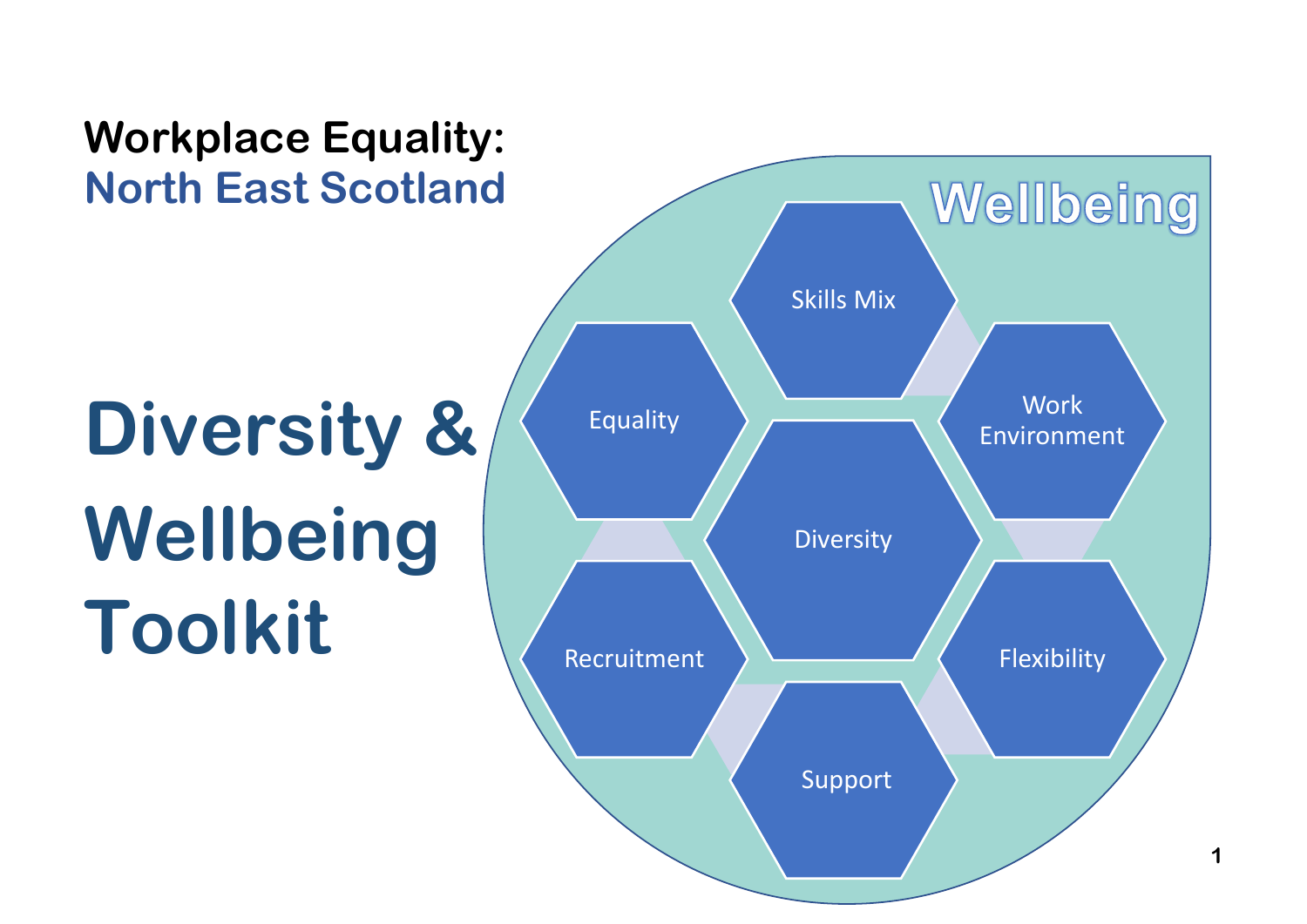# **Workplace Equality: North East Scotland** Wellbeing Skills Mix **Work Diversity &** EqualityEnvironment **Wellbeing Diversity Toolkit** Recruitment Flexibility Support

**1**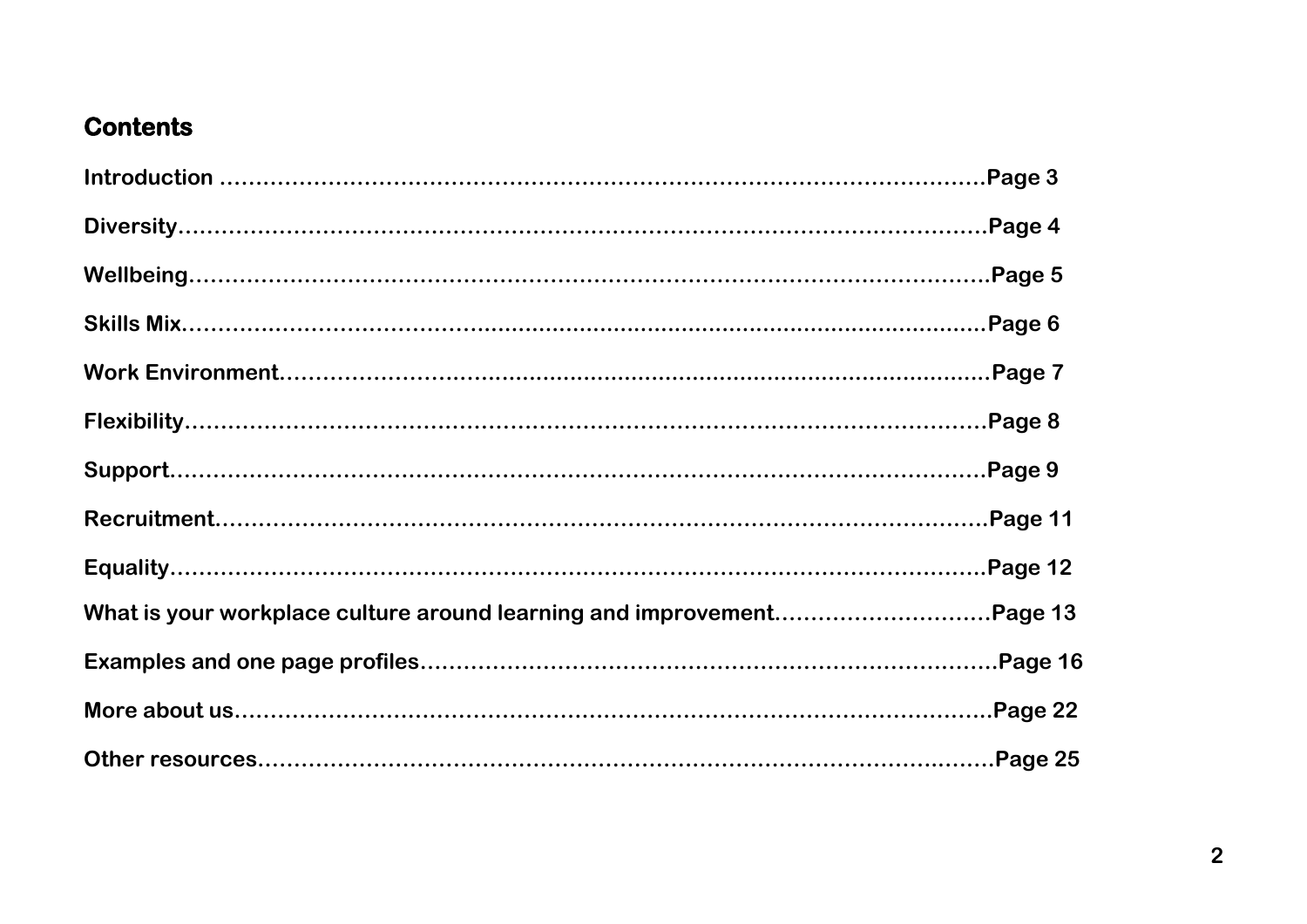# **Contents**

|                                                                       | Page 5 |
|-----------------------------------------------------------------------|--------|
|                                                                       |        |
|                                                                       |        |
|                                                                       |        |
|                                                                       |        |
|                                                                       |        |
|                                                                       |        |
| What is your workplace culture around learning and improvementPage 13 |        |
|                                                                       |        |
|                                                                       |        |
|                                                                       |        |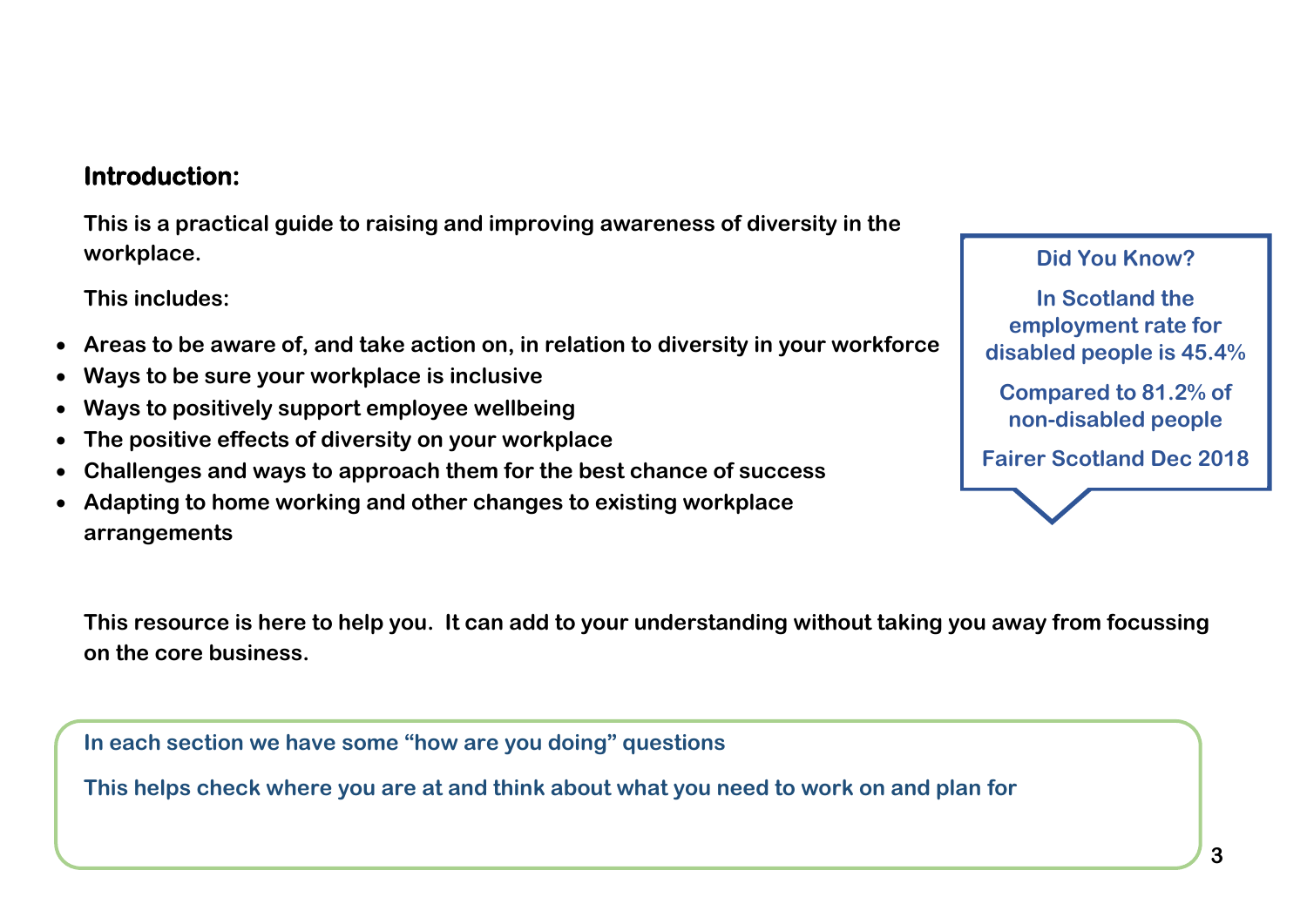## **Introduction:**

**This is a practical guide to raising and improving awareness of diversity in the workplace.**

**This includes:**

- **Areas to be aware of, and take action on, in relation to diversity in your workforce**
- **Ways to be sure your workplace is inclusive**
- **Ways to positively support employee wellbeing**
- **The positive effects of diversity on your workplace**
- **Challenges and ways to approach them for the best chance of success**
- **Adapting to home working and other changes to existing workplace arrangements**

**Did You Know?**

**D disabled people is 45.4% In Scotland the employment rate for** 

**Compared to 81.2% of non-disabled people**

**Fairer Scotland Dec 2018**

**This resource is here to help you. It can add to your understanding without taking you away from focussing on the core business.**

**In each section we have some "how are you doing" questions**

**This helps check where you are at and think about what you need to work on and plan for**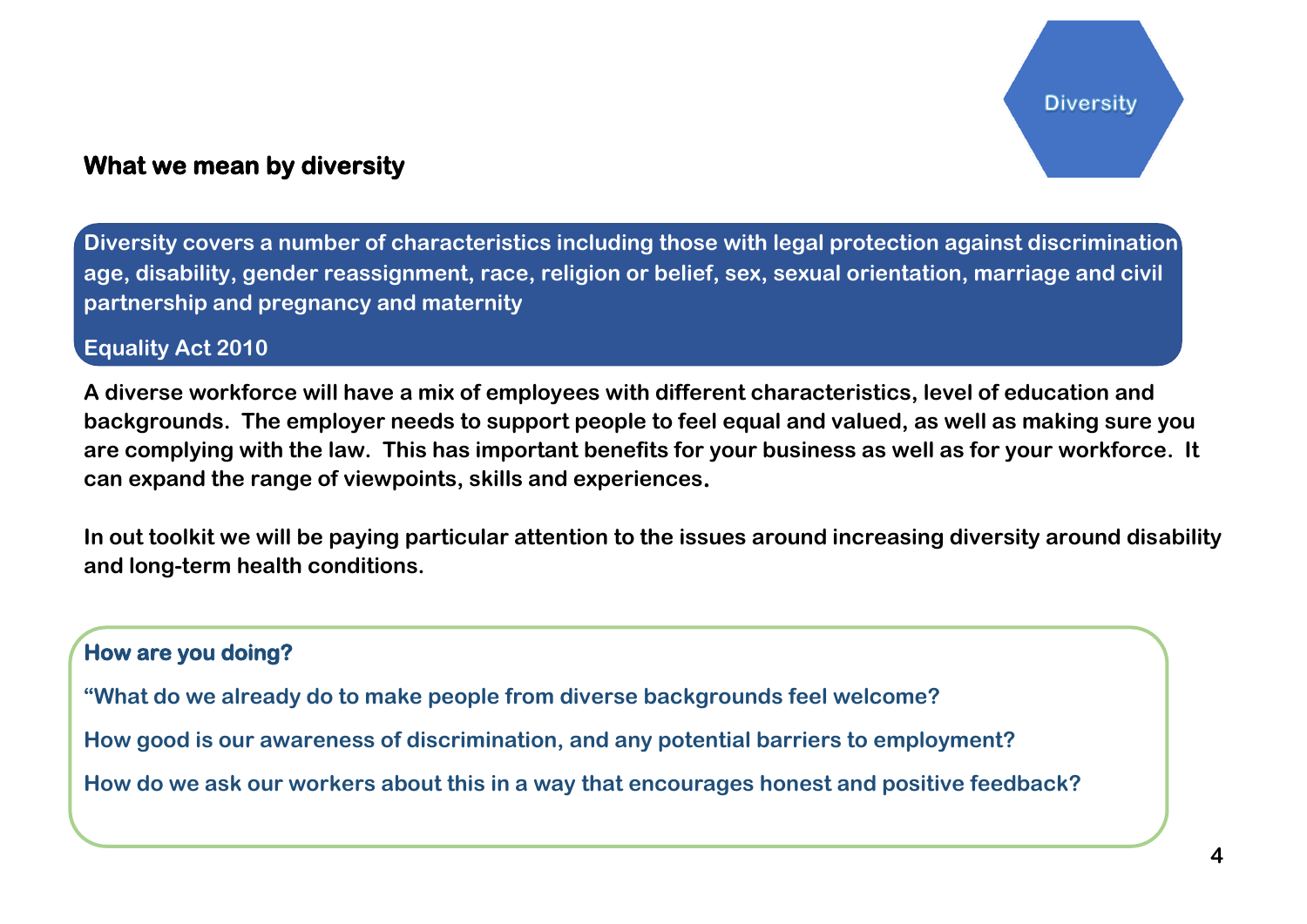## **What we mean by diversity**

**Diversity covers a number of characteristics including those with legal protection against discrimination age, disability, gender reassignment, race, religion or belief, sex, sexual orientation, marriage and civil partnership and pregnancy and maternity** 

#### **Equality Act 2010**

**A diverse workforce will have a mix of employees with different characteristics, level of education and backgrounds. The employer needs to support people to feel equal and valued, as well as making sure you are complying with the law. This has important benefits for your business as well as for your workforce. It can expand the range of viewpoints, skills and experiences.** 

**In out toolkit we will be paying particular attention to the issues around increasing diversity around disability and long-term health conditions.**

#### **How are you doing?**

**"What do we already do to make people from diverse backgrounds feel welcome?**

**How good is our awareness of discrimination, and any potential barriers to employment?**

**How do we ask our workers about this in a way that encourages honest and positive feedback?**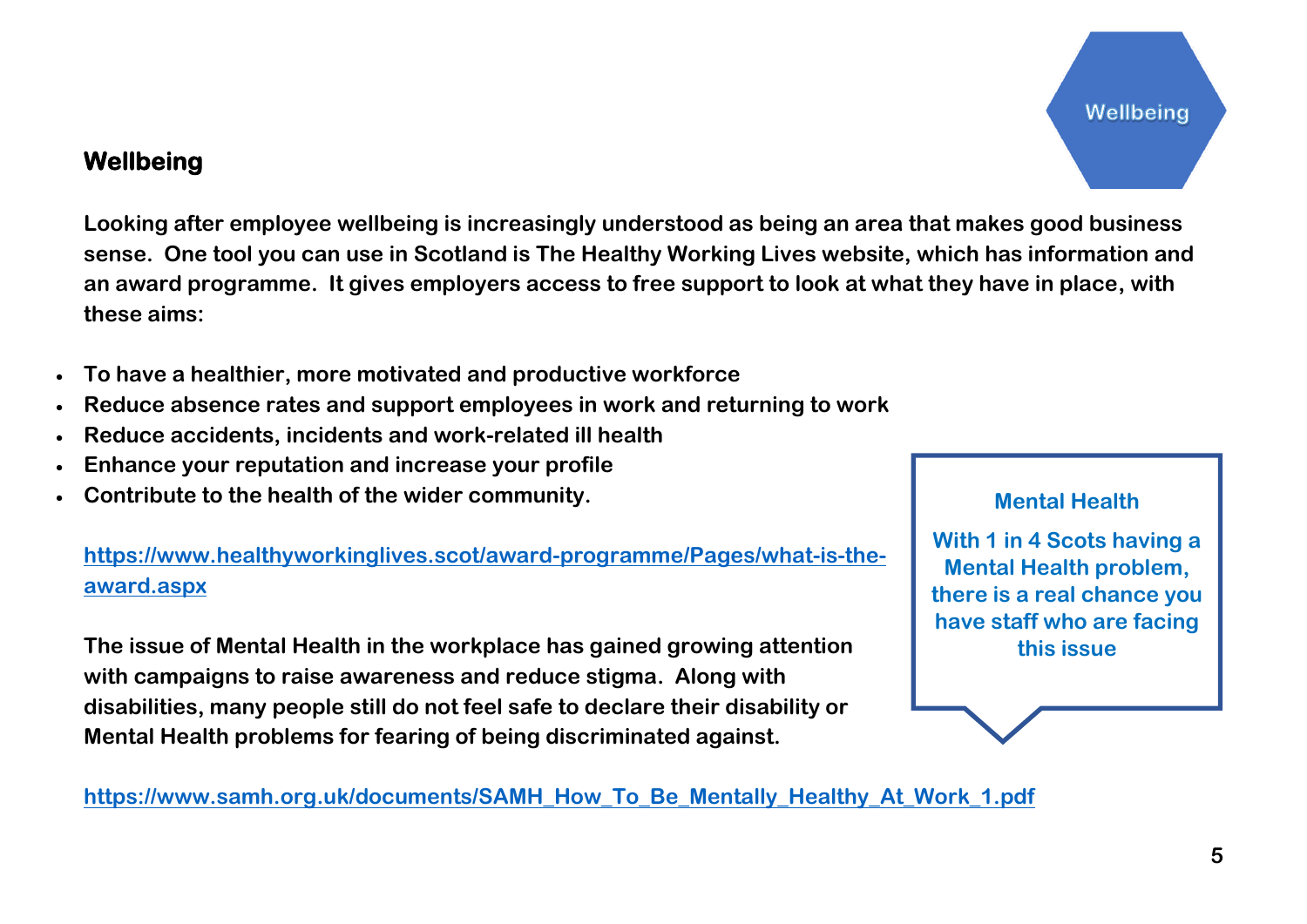Wellbeing

## **Wellbeing**

**Looking after employee wellbeing is increasingly understood as being an area that makes good business sense. One tool you can use in Scotland is The Healthy Working Lives website, which has information and an award programme. It gives employers access to free support to look at what they have in place, with these aims:**

- **To have a healthier, more motivated and productive workforce**
- **Reduce absence rates and support employees in work and returning to work**
- **Reduce accidents, incidents and work-related ill health**
- **Enhance your reputation and increase your profile**
- **Contribute to the health of the wider community.**

**[https://www.healthyworkinglives.scot/award-programme/Pages/what-is-the](https://www.healthyworkinglives.scot/award-programme/Pages/what-is-the-award.aspx)[award.aspx](https://www.healthyworkinglives.scot/award-programme/Pages/what-is-the-award.aspx)**

**The issue of Mental Health in the workplace has gained growing attention with campaigns to raise awareness and reduce stigma. Along with disabilities, many people still do not feel safe to declare their disability or Mental Health problems for fearing of being discriminated against.**

**[https://www.samh.org.uk/documents/SAMH\\_How\\_To\\_Be\\_Mentally\\_Healthy\\_At\\_Work\\_1.pdf](https://www.samh.org.uk/documents/SAMH_How_To_Be_Mentally_Healthy_At_Work_1.pdf)**

#### **Mental Health**

**With 1 in 4 Scots having a Mental Health problem, there is a real chance you have staff who are facing this issue**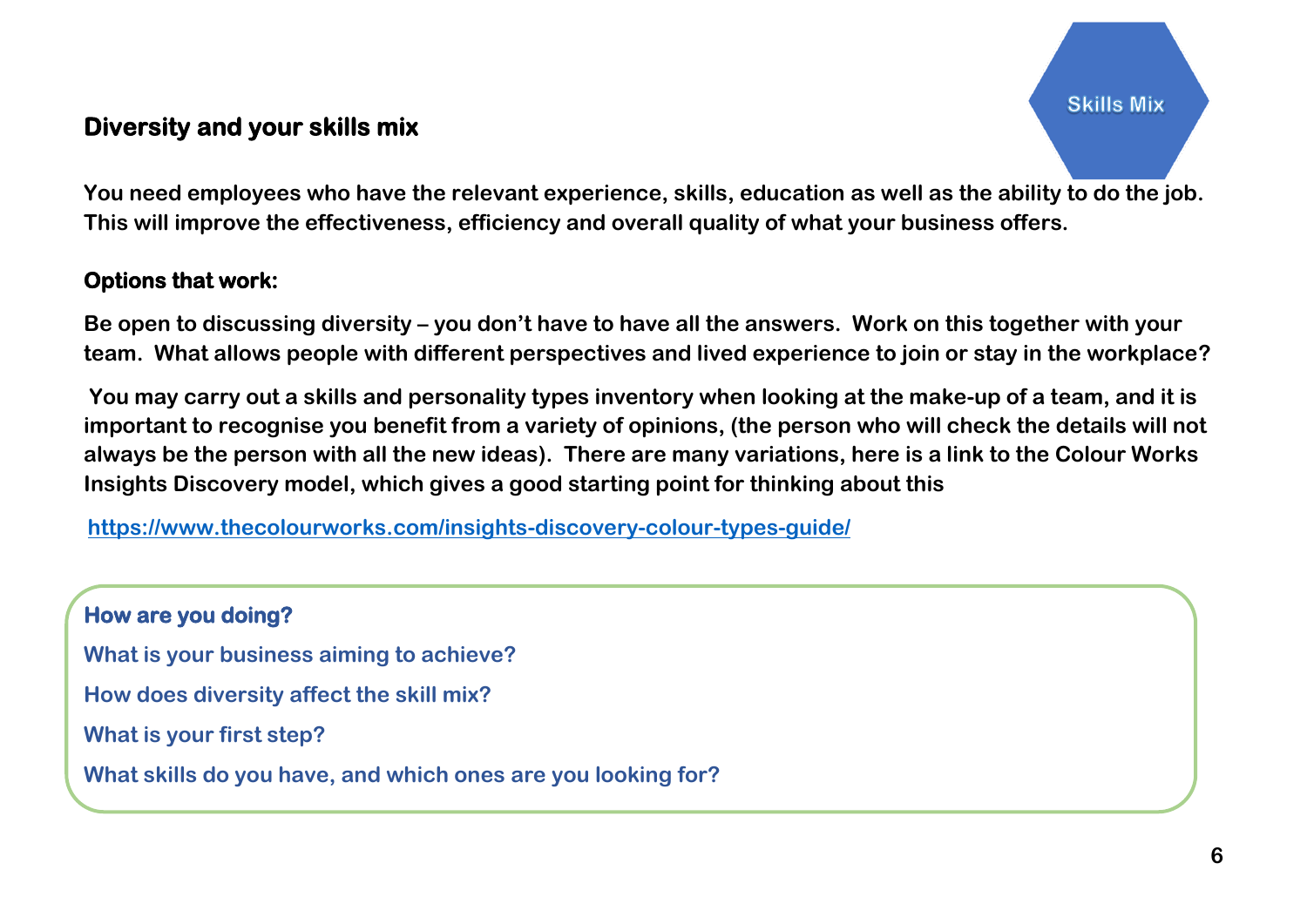# **Diversity and your skills mix**

**You need employees who have the relevant experience, skills, education as well as the ability to do the job. This will improve the effectiveness, efficiency and overall quality of what your business offers.**

## **Options that work:**

**Be open to discussing diversity – you don't have to have all the answers. Work on this together with your team. What allows people with different perspectives and lived experience to join or stay in the workplace?**

**You may carry out a skills and personality types inventory when looking at the make-up of a team, and it is important to recognise you benefit from a variety of opinions, (the person who will check the details will not always be the person with all the new ideas). There are many variations, here is a link to the Colour Works Insights Discovery model, which gives a good starting point for thinking about this**

**<https://www.thecolourworks.com/insights-discovery-colour-types-guide/>**

**How are you doing? What is your business aiming to achieve? How does diversity affect the skill mix? What is your first step? What skills do you have, and which ones are you looking for?**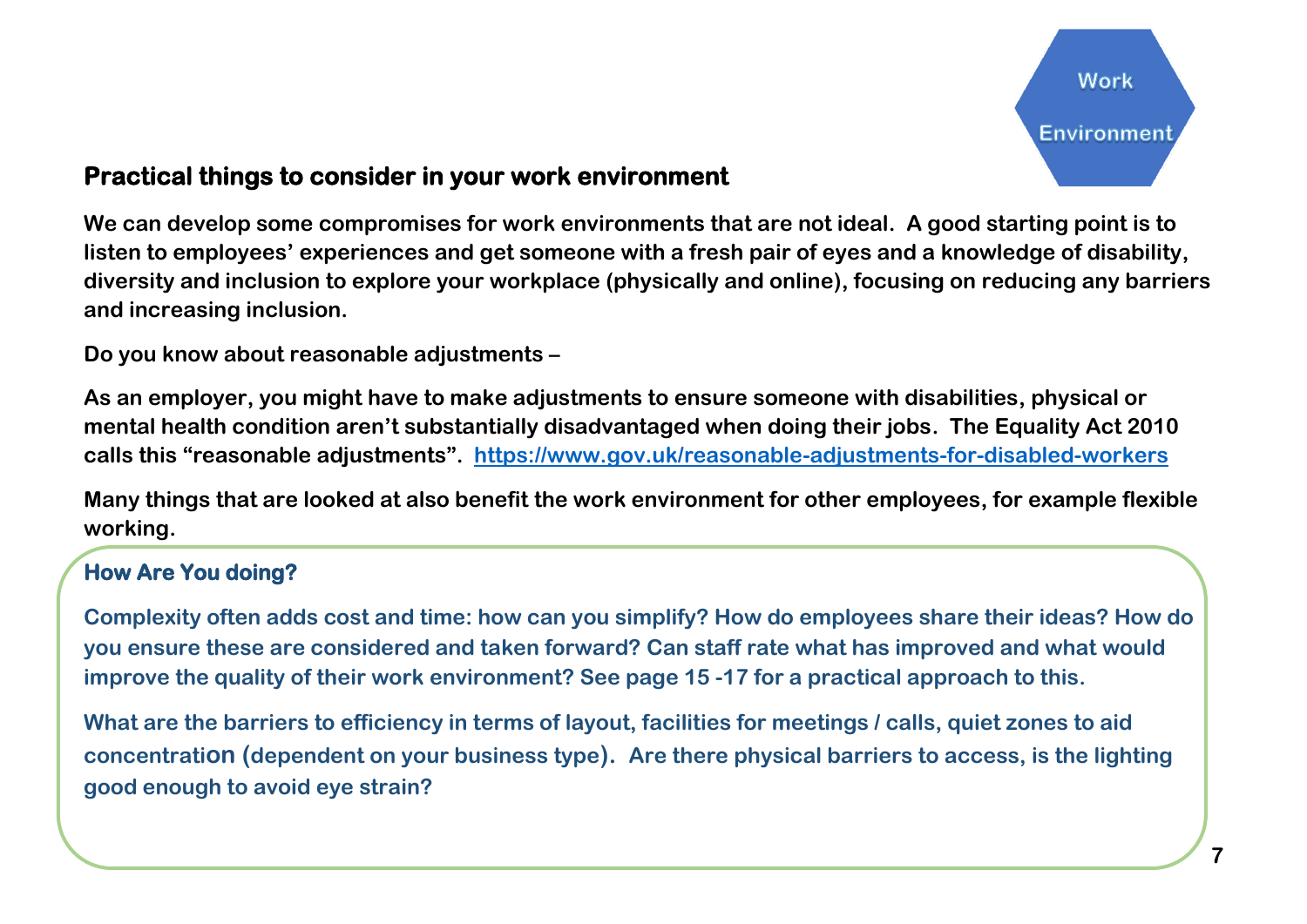## **Practical things to consider in your work environment**

**We can develop some compromises for work environments that are not ideal. A good starting point is to listen to employees' experiences and get someone with a fresh pair of eyes and a knowledge of disability, diversity and inclusion to explore your workplace (physically and online), focusing on reducing any barriers and increasing inclusion.** 

**Do you know about reasonable adjustments –**

**As an employer, you might have to make adjustments to ensure someone with disabilities, physical or mental health condition aren't substantially disadvantaged when doing their jobs. The Equality Act 2010 calls this "reasonable adjustments". <https://www.gov.uk/reasonable-adjustments-for-disabled-workers>**

**Many things that are looked at also benefit the work environment for other employees, for example flexible working.**

## **How Are You doing?**

**Complexity often adds cost and time: how can you simplify? How do employees share their ideas? How do you ensure these are considered and taken forward? Can staff rate what has improved and what would improve the quality of their work environment? See page 15 -17 for a practical approach to this.**

**What are the barriers to efficiency in terms of layout, facilities for meetings / calls, quiet zones to aid concentration (dependent on your business type). Are there physical barriers to access, is the lighting good enough to avoid eye strain?**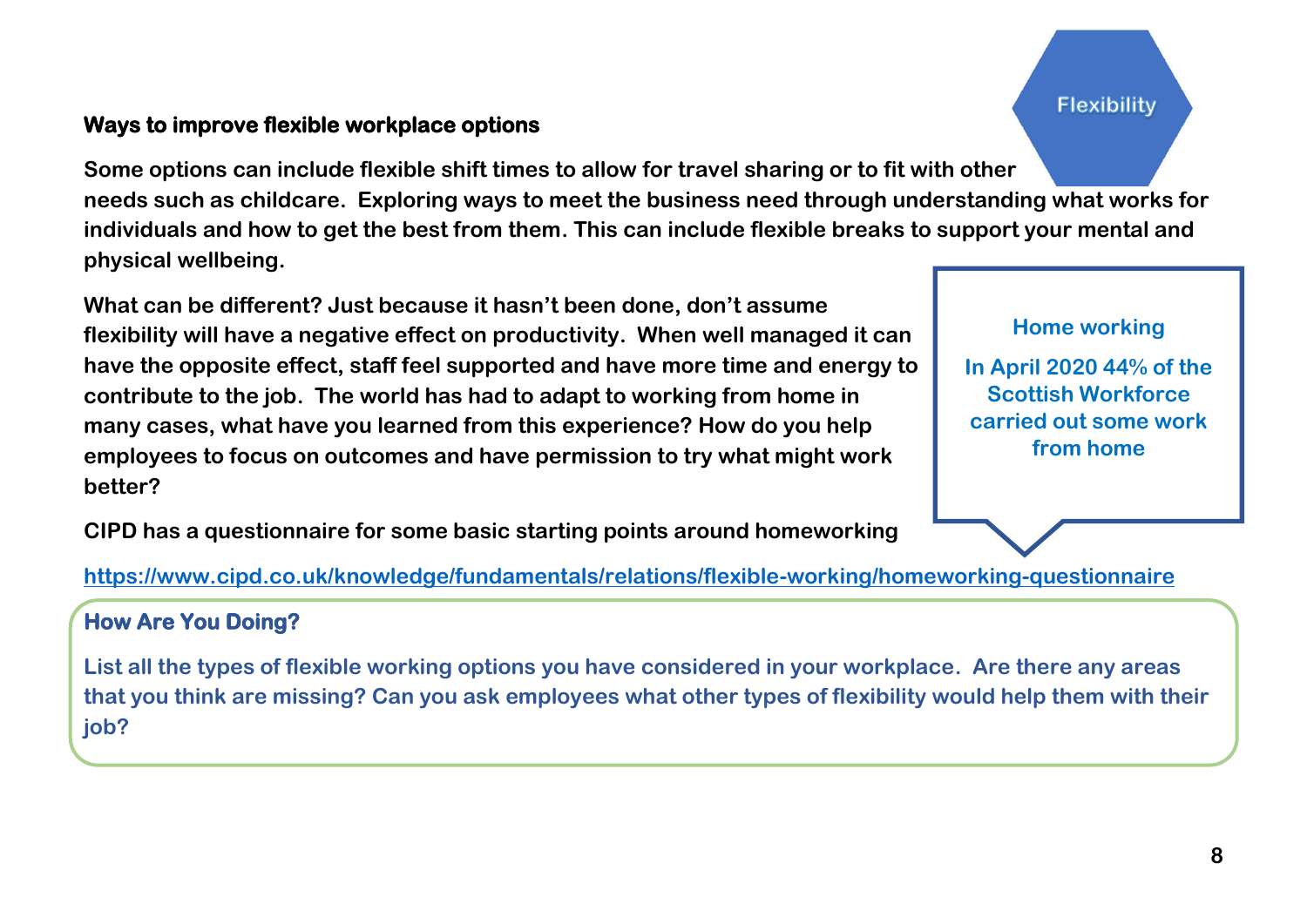#### **Ways to improve flexible workplace options**

**Some options can include flexible shift times to allow for travel sharing or to fit with other needs such as childcare. Exploring ways to meet the business need through understanding what works for individuals and how to get the best from them. This can include flexible breaks to support your mental and physical wellbeing.**

**What can be different? Just because it hasn't been done, don't assume flexibility will have a negative effect on productivity. When well managed it can have the opposite effect, staff feel supported and have more time and energy to contribute to the job. The world has had to adapt to working from home in many cases, what have you learned from this experience? How do you help employees to focus on outcomes and have permission to try what might work better?** 

**CIPD has a questionnaire for some basic starting points around homeworking**

**Home working In April 2020 44% of the Scottish Workforce carried out some work from home**

**<https://www.cipd.co.uk/knowledge/fundamentals/relations/flexible-working/homeworking-questionnaire>**

## **How Are You Doing?**

**List all the types of flexible working options you have considered in your workplace. Are there any areas that you think are missing? Can you ask employees what other types of flexibility would help them with their job?**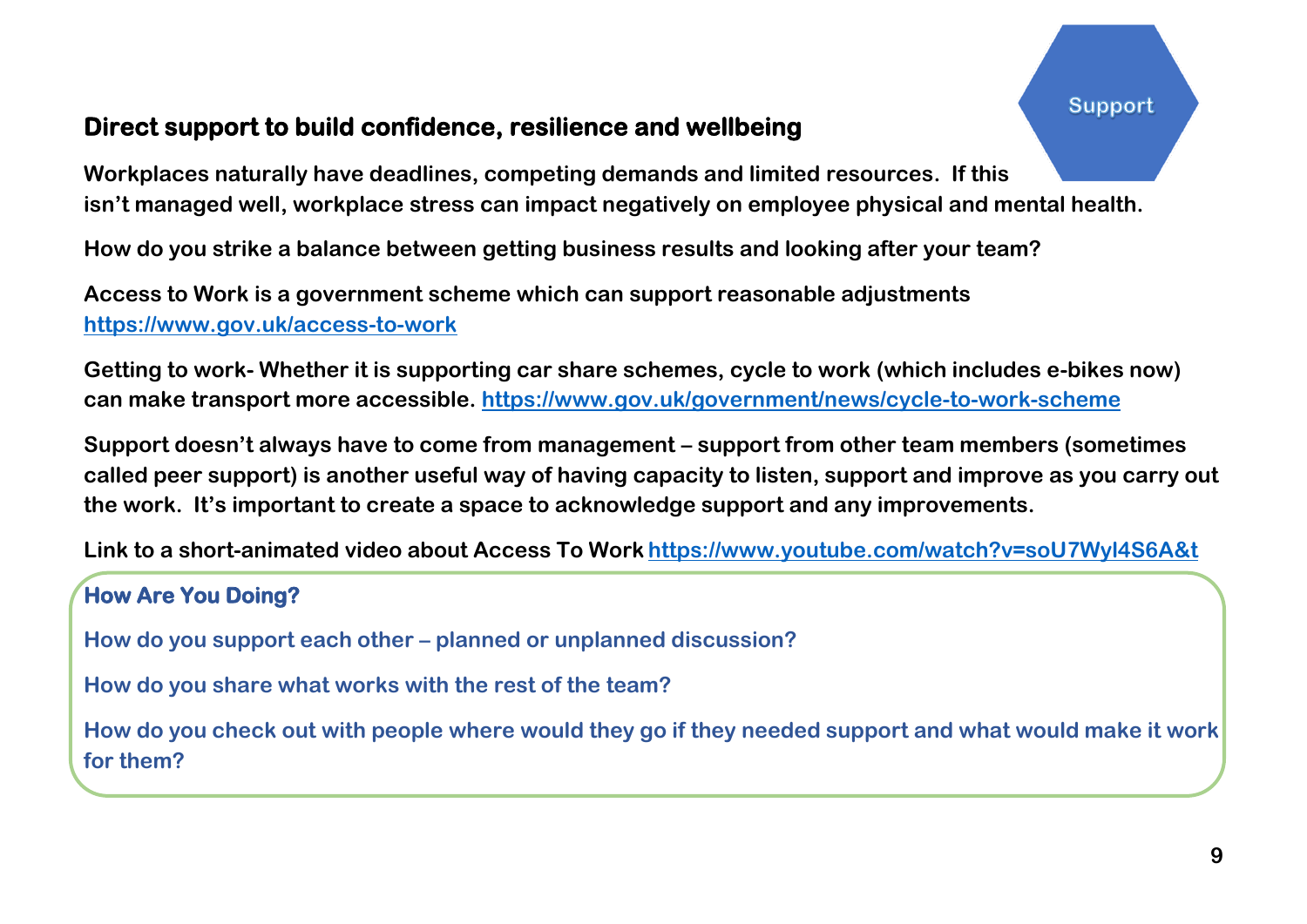# **Direct support to build confidence, resilience and wellbeing**

**Workplaces naturally have deadlines, competing demands and limited resources. If this isn't managed well, workplace stress can impact negatively on employee physical and mental health.**

**How do you strike a balance between getting business results and looking after your team?**

**Access to Work is a government scheme which can support reasonable adjustments <https://www.gov.uk/access-to-work>**

**Getting to work- Whether it is supporting car share schemes, cycle to work (which includes e-bikes now) can make transport more accessible. <https://www.gov.uk/government/news/cycle-to-work-scheme>**

**Support doesn't always have to come from management – support from other team members (sometimes called peer support) is another useful way of having capacity to listen, support and improve as you carry out the work. It's important to create a space to acknowledge support and any improvements.**

**Link to a short-animated video about Access To Work <https://www.youtube.com/watch?v=soU7Wyl4S6A&t>**

## **How Are You Doing?**

**How do you support each other – planned or unplanned discussion?**

**How do you share what works with the rest of the team?**

**How do you check out with people where would they go if they needed support and what would make it work for them?**

Support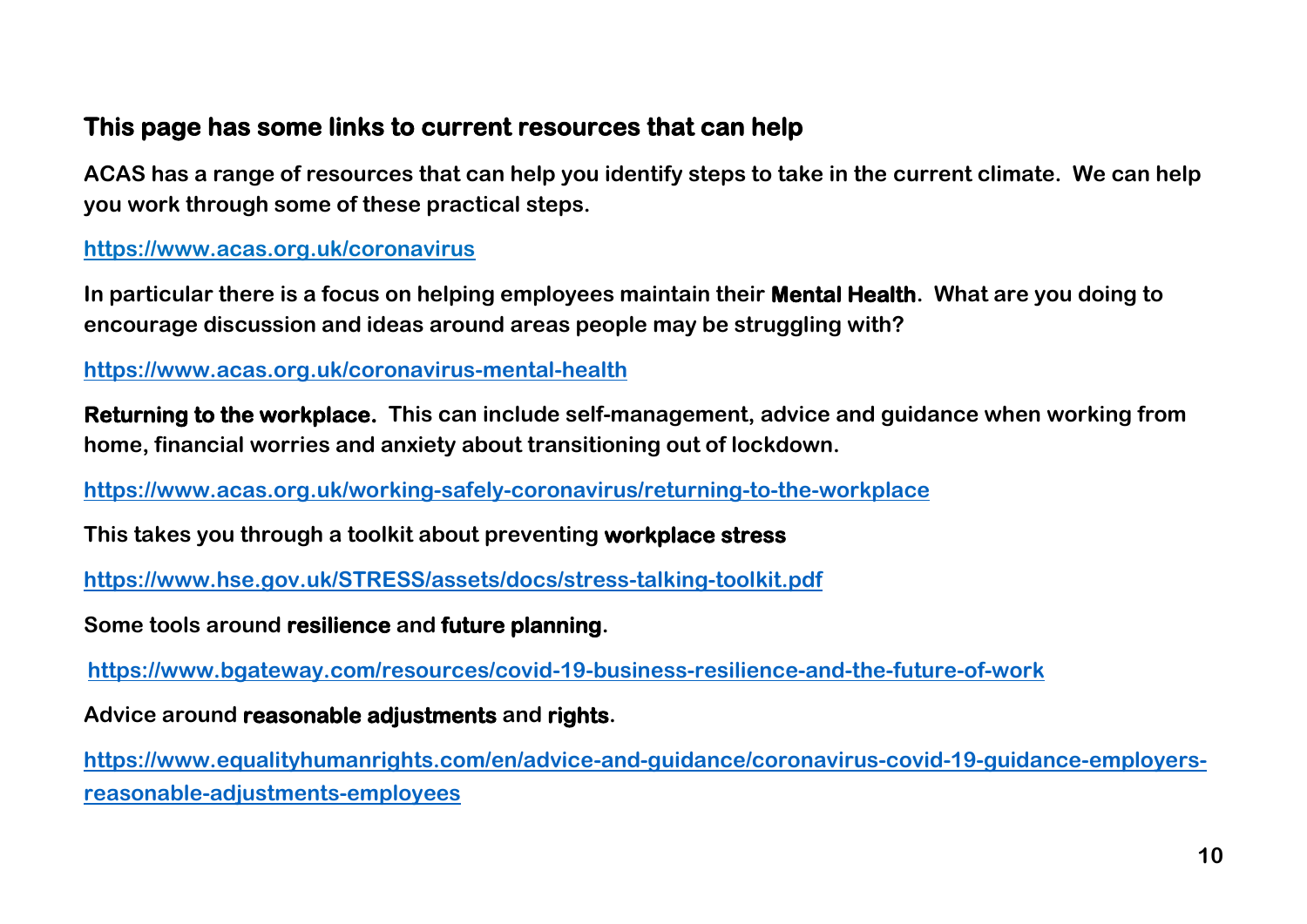# **This page has some links to current resources that can help**

**ACAS has a range of resources that can help you identify steps to take in the current climate. We can help you work through some of these practical steps.**

#### **<https://www.acas.org.uk/coronavirus>**

**In particular there is a focus on helping employees maintain their Mental Health. What are you doing to encourage discussion and ideas around areas people may be struggling with?**

**<https://www.acas.org.uk/coronavirus-mental-health>**

**Returning to the workplace. This can include self-management, advice and guidance when working from home, financial worries and anxiety about transitioning out of lockdown.**

**<https://www.acas.org.uk/working-safely-coronavirus/returning-to-the-workplace>**

**This takes you through a toolkit about preventing workplace stress**

**<https://www.hse.gov.uk/STRESS/assets/docs/stress-talking-toolkit.pdf>**

**Some tools around resilience and future planning.**

**<https://www.bgateway.com/resources/covid-19-business-resilience-and-the-future-of-work>**

**Advice around reasonable adjustments and rights.**

**[https://www.equalityhumanrights.com/en/advice-and-guidance/coronavirus-covid-19-guidance-employers](https://www.equalityhumanrights.com/en/advice-and-guidance/coronavirus-covid-19-guidance-employers-reasonable-adjustments-employees)[reasonable-adjustments-employees](https://www.equalityhumanrights.com/en/advice-and-guidance/coronavirus-covid-19-guidance-employers-reasonable-adjustments-employees)**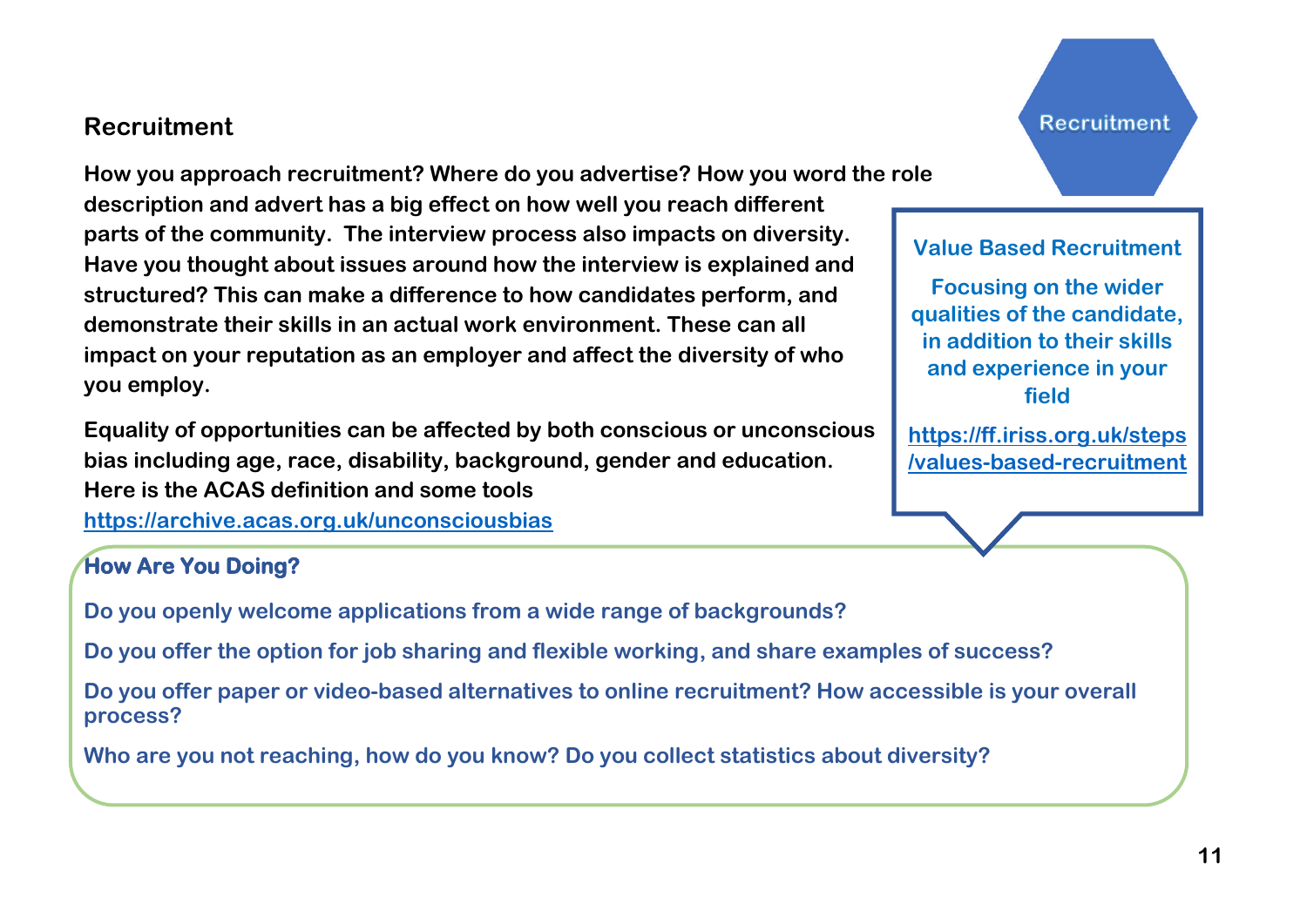## **Recruitment**

**How you approach recruitment? Where do you advertise? How you word the role description and advert has a big effect on how well you reach different parts of the community. The interview process also impacts on diversity. Have you thought about issues around how the interview is explained and structured? This can make a difference to how candidates perform, and demonstrate their skills in an actual work environment. These can all impact on your reputation as an employer and affect the diversity of who you employ.** 

**Equality of opportunities can be affected by both conscious or unconscious bias including age, race, disability, background, gender and education. Here is the ACAS definition and some tools <https://archive.acas.org.uk/unconsciousbias>**

#### **How Are You Doing?**

**Do you openly welcome applications from a wide range of backgrounds?**

**Do you offer the option for job sharing and flexible working, and share examples of success?**

**Do you offer paper or video-based alternatives to online recruitment? How accessible is your overall process?**

**Who are you not reaching, how do you know? Do you collect statistics about diversity?**

Recruitment

#### **Value Based Recruitment**

**Focusing on the wider qualities of the candidate, in addition to their skills and experience in your field**

**[https://ff.iriss.org.uk/steps](https://ff.iriss.org.uk/steps/values-based-recruitment) [/values-based-recruitment](https://ff.iriss.org.uk/steps/values-based-recruitment)**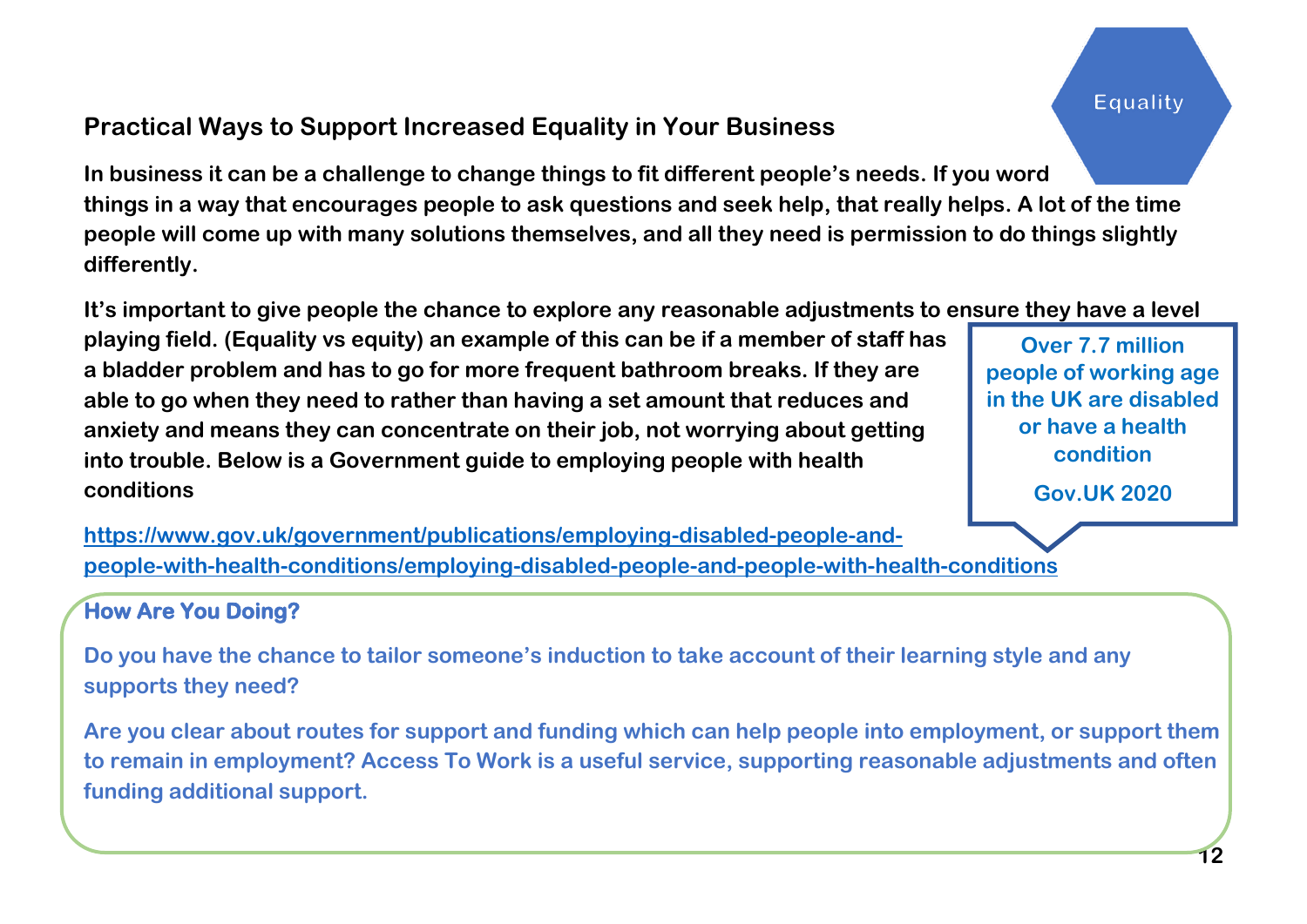Equality

# **Practical Ways to Support Increased Equality in Your Business**

**In business it can be a challenge to change things to fit different people's needs. If you word things in a way that encourages people to ask questions and seek help, that really helps. A lot of the time people will come up with many solutions themselves, and all they need is permission to do things slightly differently.** 

**It's important to give people the chance to explore any reasonable adjustments to ensure they have a level** 

**playing field. (Equality vs equity) an example of this can be if a member of staff has a bladder problem and has to go for more frequent bathroom breaks. If they are able to go when they need to rather than having a set amount that reduces and anxiety and means they can concentrate on their job, not worrying about getting into trouble. Below is a Government guide to employing people with health conditions**

**Over 7.7 million people of working age in the UK are disabled or have a health condition**

**Gov.UK 2020**

**[https://www.gov.uk/government/publications/employing-disabled-people-and](https://www.gov.uk/government/publications/employing-disabled-people-and-people-with-health-conditions/employing-disabled-people-and-people-with-health-conditions)[people-with-health-conditions/employing-disabled-people-and-people-with-health-conditions](https://www.gov.uk/government/publications/employing-disabled-people-and-people-with-health-conditions/employing-disabled-people-and-people-with-health-conditions)**

#### **How Are You Doing?**

**Do you have the chance to tailor someone's induction to take account of their learning style and any supports they need?**

**Are you clear about routes for support and funding which can help people into employment, or support them to remain in employment? Access To Work is a useful service, supporting reasonable adjustments and often funding additional support.**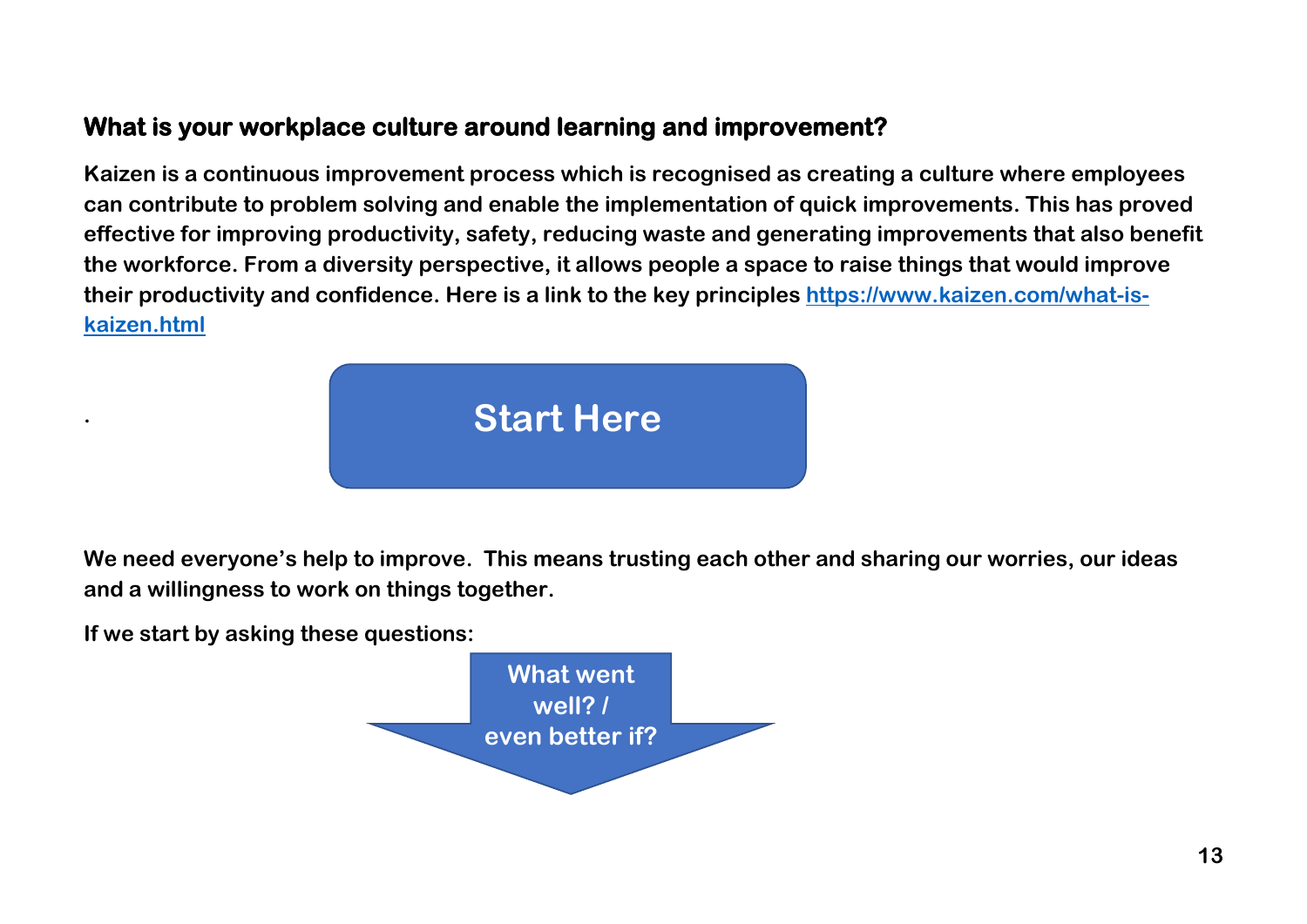# **What is your workplace culture around learning and improvement?**

**Kaizen is a continuous improvement process which is recognised as creating a culture where employees can contribute to problem solving and enable the implementation of quick improvements. This has proved effective for improving productivity, safety, reducing waste and generating improvements that also benefit the workforce. From a diversity perspective, it allows people a space to raise things that would improve their productivity and confidence. Here is a link to the key principles [https://www.kaizen.com/what-is](https://www.kaizen.com/what-is-kaizen.html)[kaizen.html](https://www.kaizen.com/what-is-kaizen.html)**



**We need everyone's help to improve. This means trusting each other and sharing our worries, our ideas and a willingness to work on things together.**

**If we start by asking these questions:**

**.**

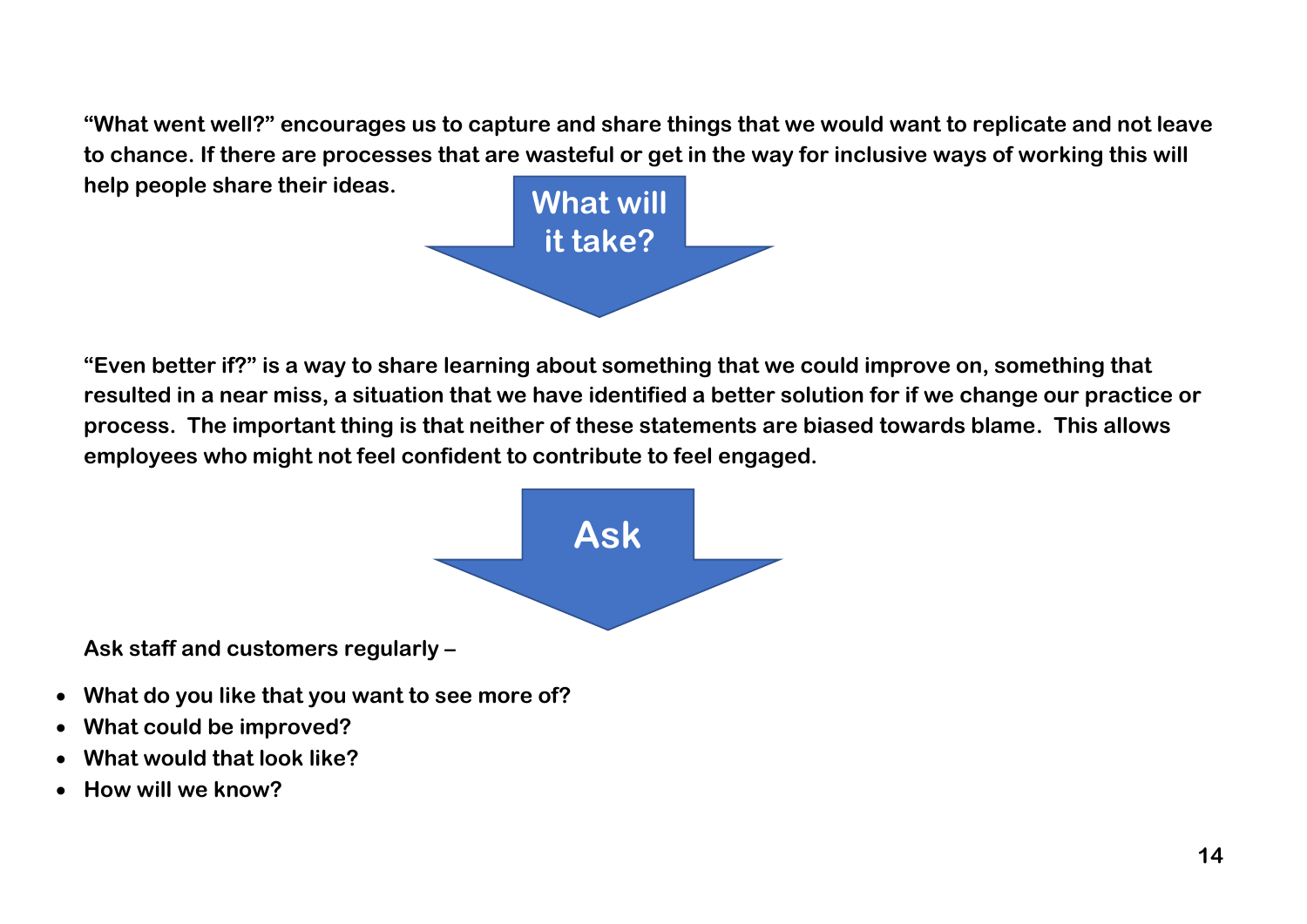**"What went well?" encourages us to capture and share things that we would want to replicate and not leave to chance. If there are processes that are wasteful or get in the way for inclusive ways of working this will help people share their ideas.**



**"Even better if?" is a way to share learning about something that we could improve on, something that resulted in a near miss, a situation that we have identified a better solution for if we change our practice or process. The important thing is that neither of these statements are biased towards blame. This allows employees who might not feel confident to contribute to feel engaged.**



**Ask staff and customers regularly –**

- **What do you like that you want to see more of?**
- **What could be improved?**
- **What would that look like?**
- **How will we know?**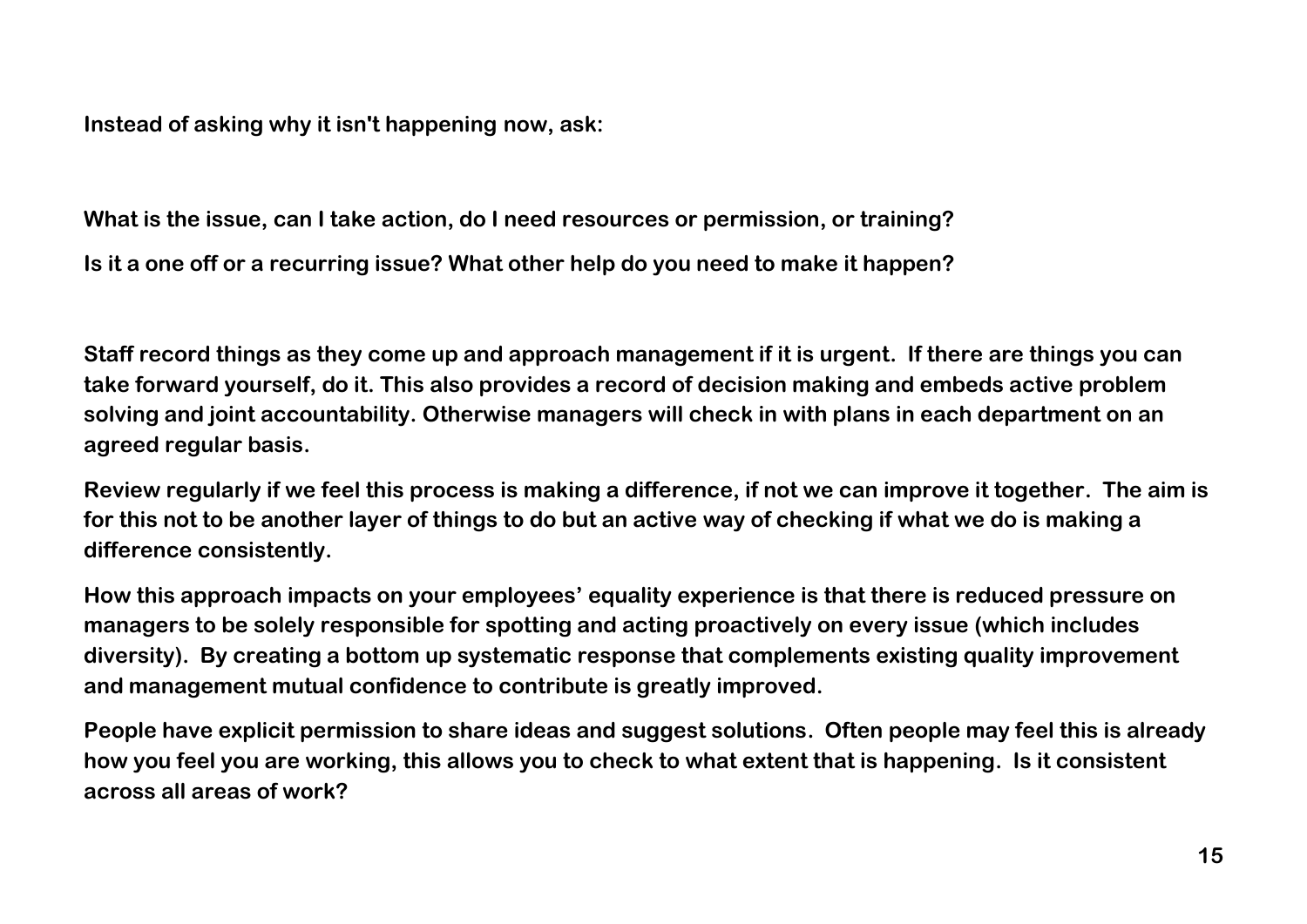**Instead of asking why it isn't happening now, ask:**

**What is the issue, can I take action, do I need resources or permission, or training?**

**Is it a one off or a recurring issue? What other help do you need to make it happen?**

**Staff record things as they come up and approach management if it is urgent. If there are things you can take forward yourself, do it. This also provides a record of decision making and embeds active problem solving and joint accountability. Otherwise managers will check in with plans in each department on an agreed regular basis.**

**Review regularly if we feel this process is making a difference, if not we can improve it together. The aim is for this not to be another layer of things to do but an active way of checking if what we do is making a difference consistently.**

**How this approach impacts on your employees' equality experience is that there is reduced pressure on managers to be solely responsible for spotting and acting proactively on every issue (which includes diversity). By creating a bottom up systematic response that complements existing quality improvement and management mutual confidence to contribute is greatly improved.** 

**People have explicit permission to share ideas and suggest solutions. Often people may feel this is already how you feel you are working, this allows you to check to what extent that is happening. Is it consistent across all areas of work?**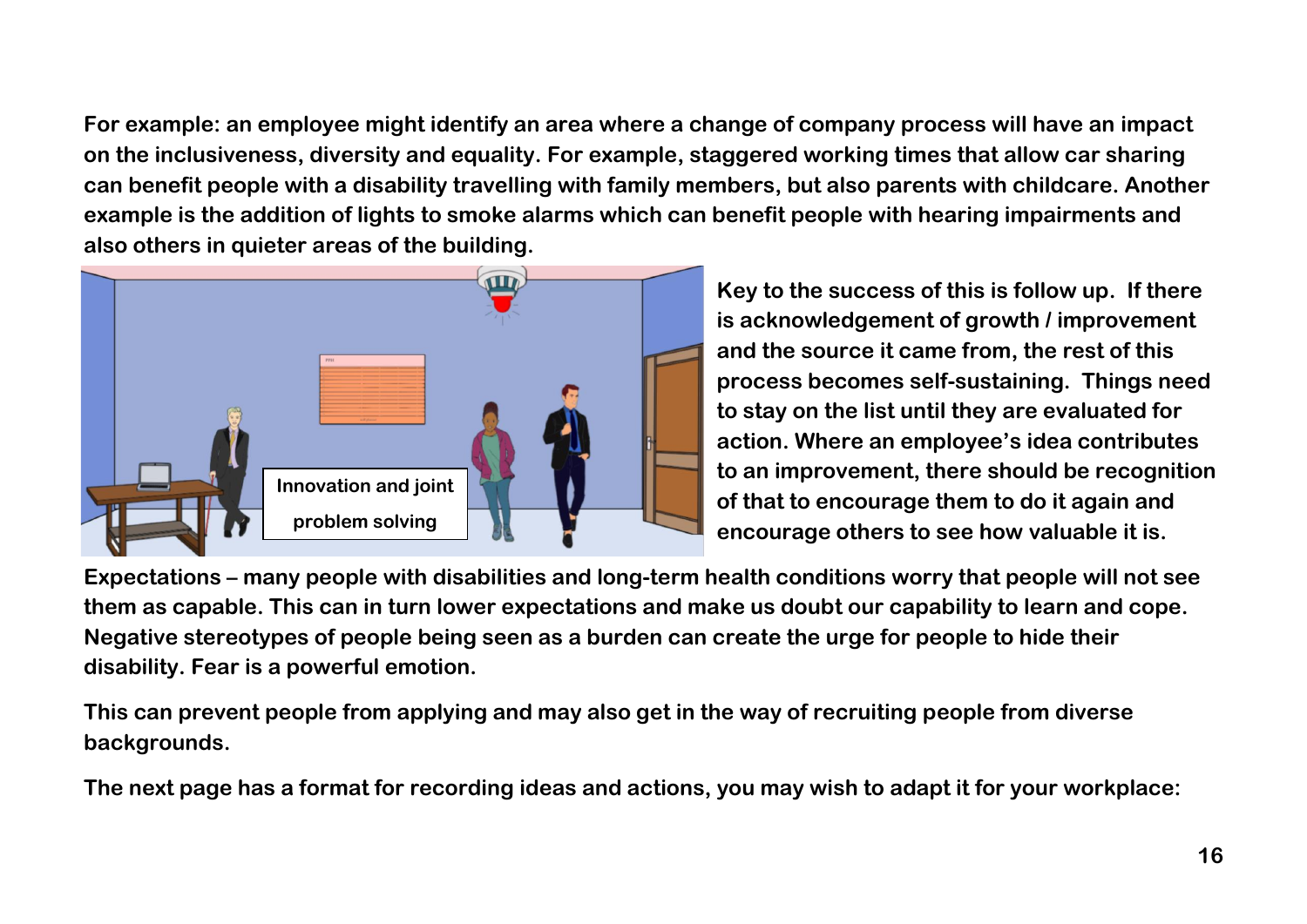**For example: an employee might identify an area where a change of company process will have an impact on the inclusiveness, diversity and equality. For example, staggered working times that allow car sharing can benefit people with a disability travelling with family members, but also parents with childcare. Another example is the addition of lights to smoke alarms which can benefit people with hearing impairments and also others in quieter areas of the building.** 



**Key to the success of this is follow up. If there is acknowledgement of growth / improvement and the source it came from, the rest of this process becomes self-sustaining. Things need to stay on the list until they are evaluated for action. Where an employee's idea contributes to an improvement, there should be recognition of that to encourage them to do it again and encourage others to see how valuable it is.**

**Expectations – many people with disabilities and long-term health conditions worry that people will not see them as capable. This can in turn lower expectations and make us doubt our capability to learn and cope. Negative stereotypes of people being seen as a burden can create the urge for people to hide their disability. Fear is a powerful emotion.**

**This can prevent people from applying and may also get in the way of recruiting people from diverse backgrounds.**

**The next page has a format for recording ideas and actions, you may wish to adapt it for your workplace:**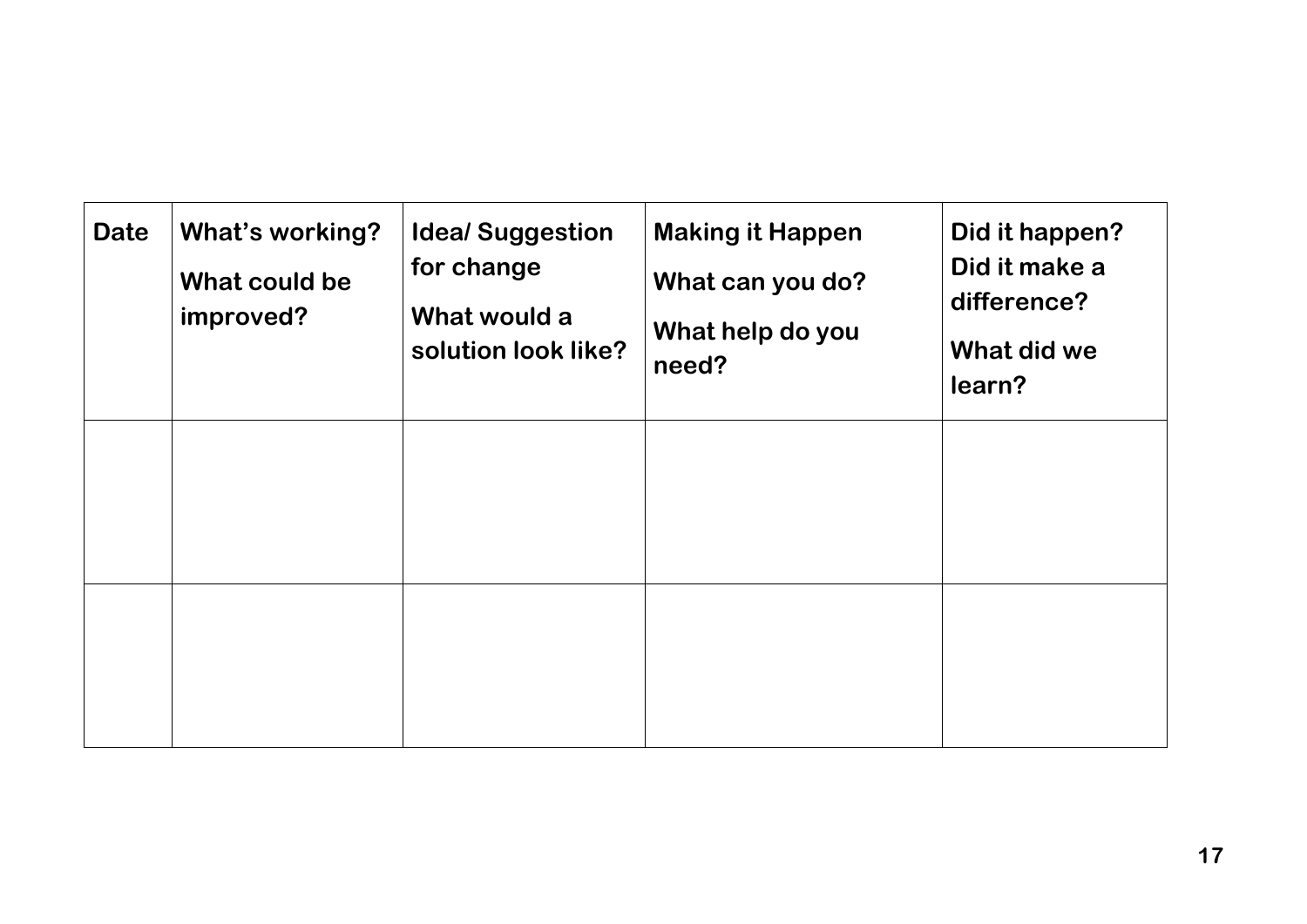| <b>Date</b> | <b>What's working?</b><br>What could be<br>improved? | <b>Idea/Suggestion</b><br>for change<br>What would a<br>solution look like? | <b>Making it Happen</b><br>What can you do?<br>What help do you<br>need? | Did it happen?<br>Did it make a<br>difference?<br>What did we<br>learn? |
|-------------|------------------------------------------------------|-----------------------------------------------------------------------------|--------------------------------------------------------------------------|-------------------------------------------------------------------------|
|             |                                                      |                                                                             |                                                                          |                                                                         |
|             |                                                      |                                                                             |                                                                          |                                                                         |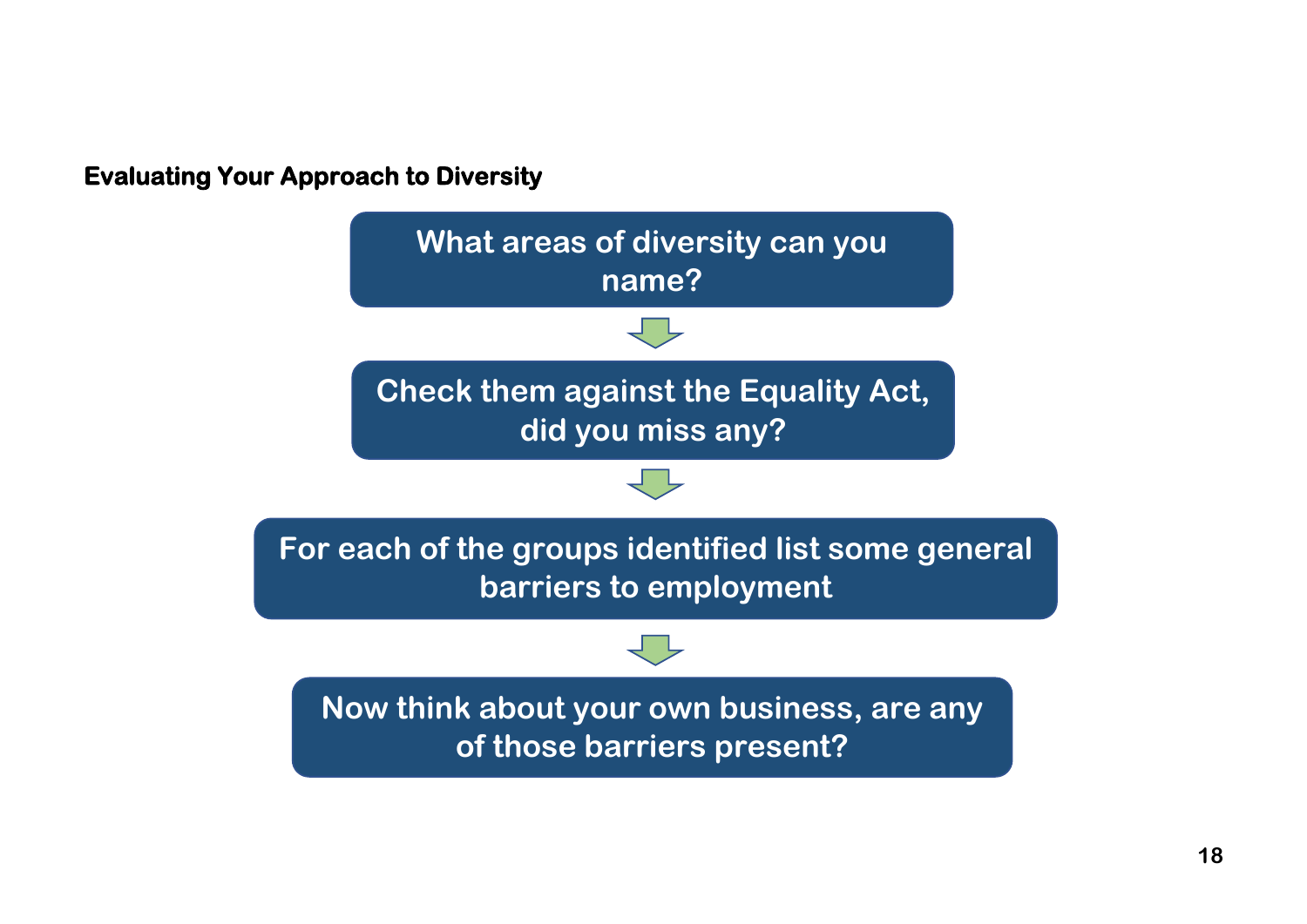**Evaluating Your Approach to Diversity** 

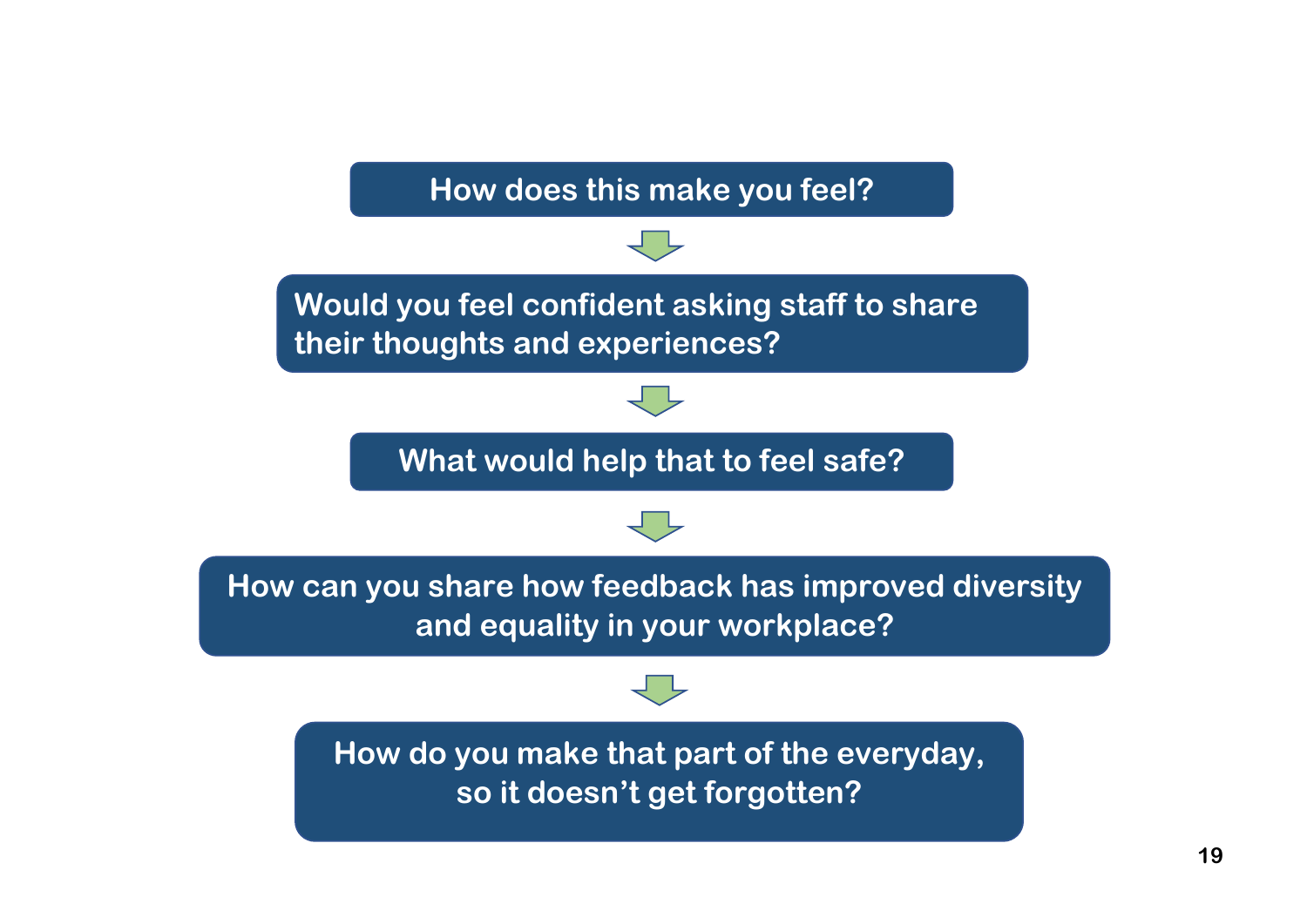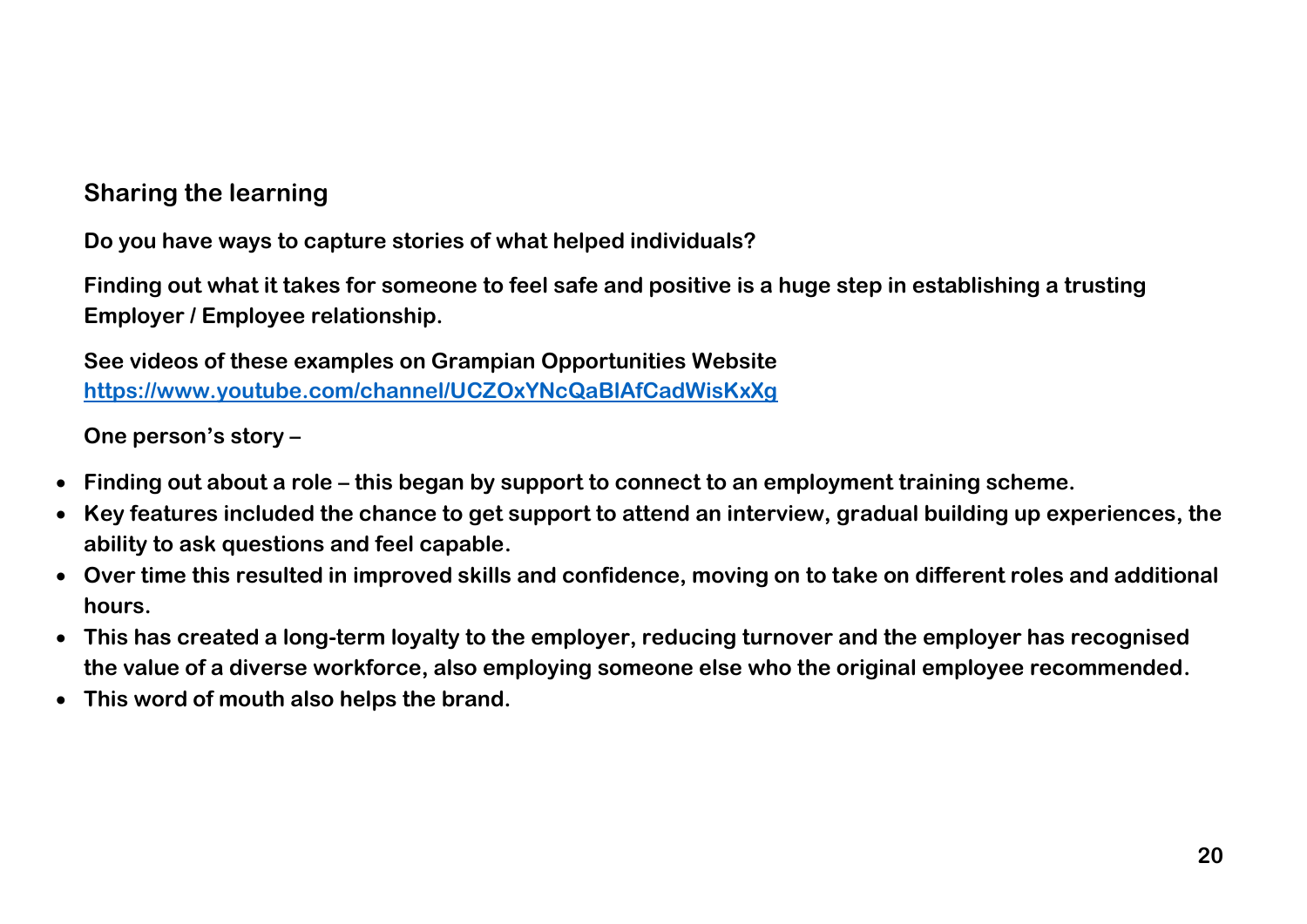# **Sharing the learning**

**Do you have ways to capture stories of what helped individuals?**

**Finding out what it takes for someone to feel safe and positive is a huge step in establishing a trusting Employer / Employee relationship.**

**See videos of these examples on Grampian Opportunities Website <https://www.youtube.com/channel/UCZOxYNcQaBlAfCadWisKxXg>**

**One person's story –**

- **Finding out about a role – this began by support to connect to an employment training scheme.**
- **Key features included the chance to get support to attend an interview, gradual building up experiences, the ability to ask questions and feel capable.**
- **Over time this resulted in improved skills and confidence, moving on to take on different roles and additional hours.**
- **This has created a long-term loyalty to the employer, reducing turnover and the employer has recognised the value of a diverse workforce, also employing someone else who the original employee recommended.**
- **This word of mouth also helps the brand.**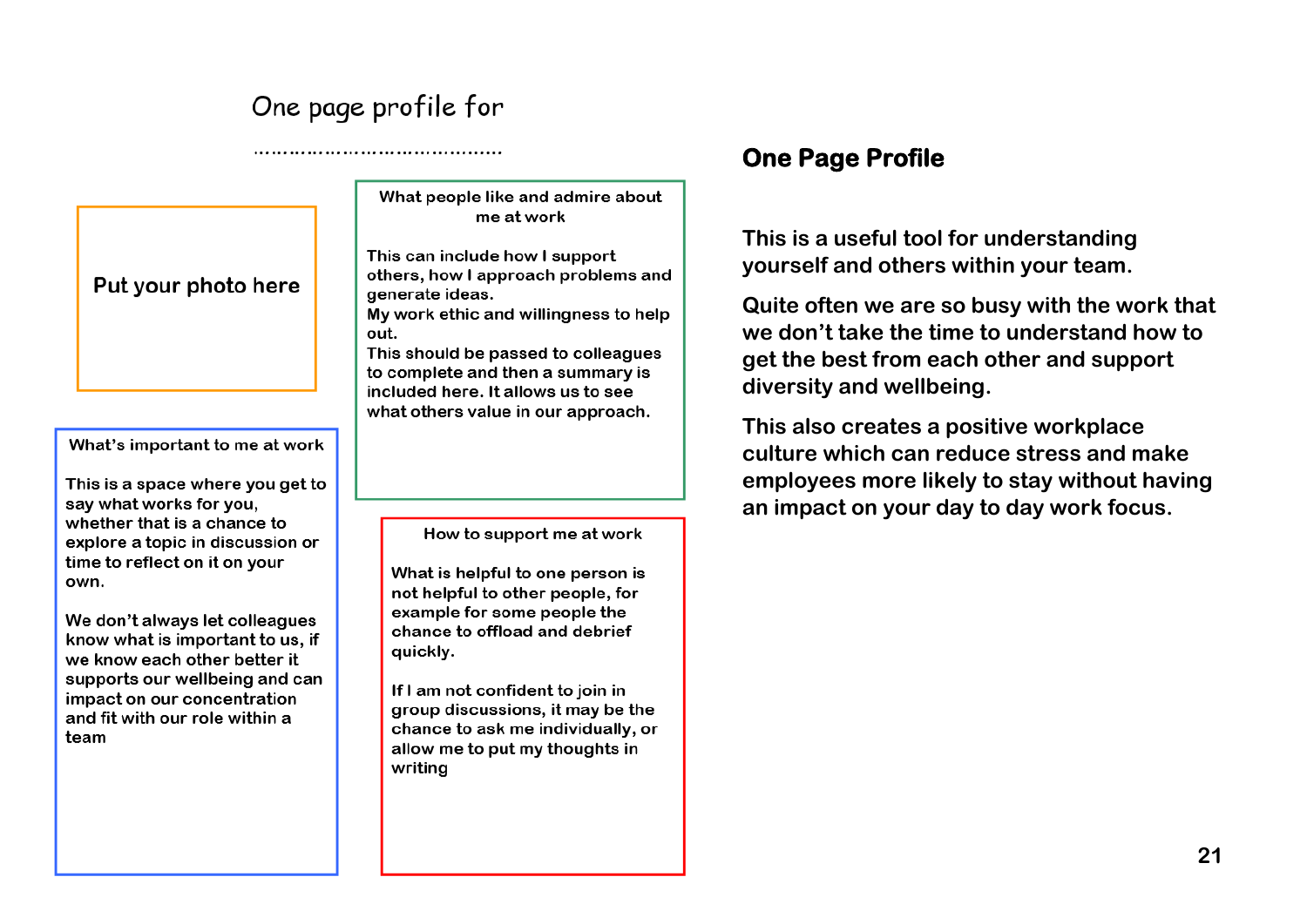# One page profile for

Put your photo here

What's important to me at work

This is a space where you get to say what works for you. whether that is a chance to explore a topic in discussion or time to reflect on it on your own.

We don't always let colleagues know what is important to us, if we know each other better it supports our wellbeing and can impact on our concentration and fit with our role within a team

What people like and admire about me at work

This can include how I support others, how I approach problems and generate ideas.

My work ethic and willingness to help out.

This should be passed to colleagues to complete and then a summary is included here. It allows us to see what others value in our approach.

How to support me at work

What is helpful to one person is not helpful to other people, for example for some people the chance to offload and debrief quickly.

If I am not confident to join in group discussions, it may be the chance to ask me individually, or allow me to put my thoughts in writina

# **One Page Profile**

**This is a useful tool for understanding yourself and others within your team.**

**Quite often we are so busy with the work that we don't take the time to understand how to get the best from each other and support diversity and wellbeing.** 

**This also creates a positive workplace culture which can reduce stress and make employees more likely to stay without having an impact on your day to day work focus.**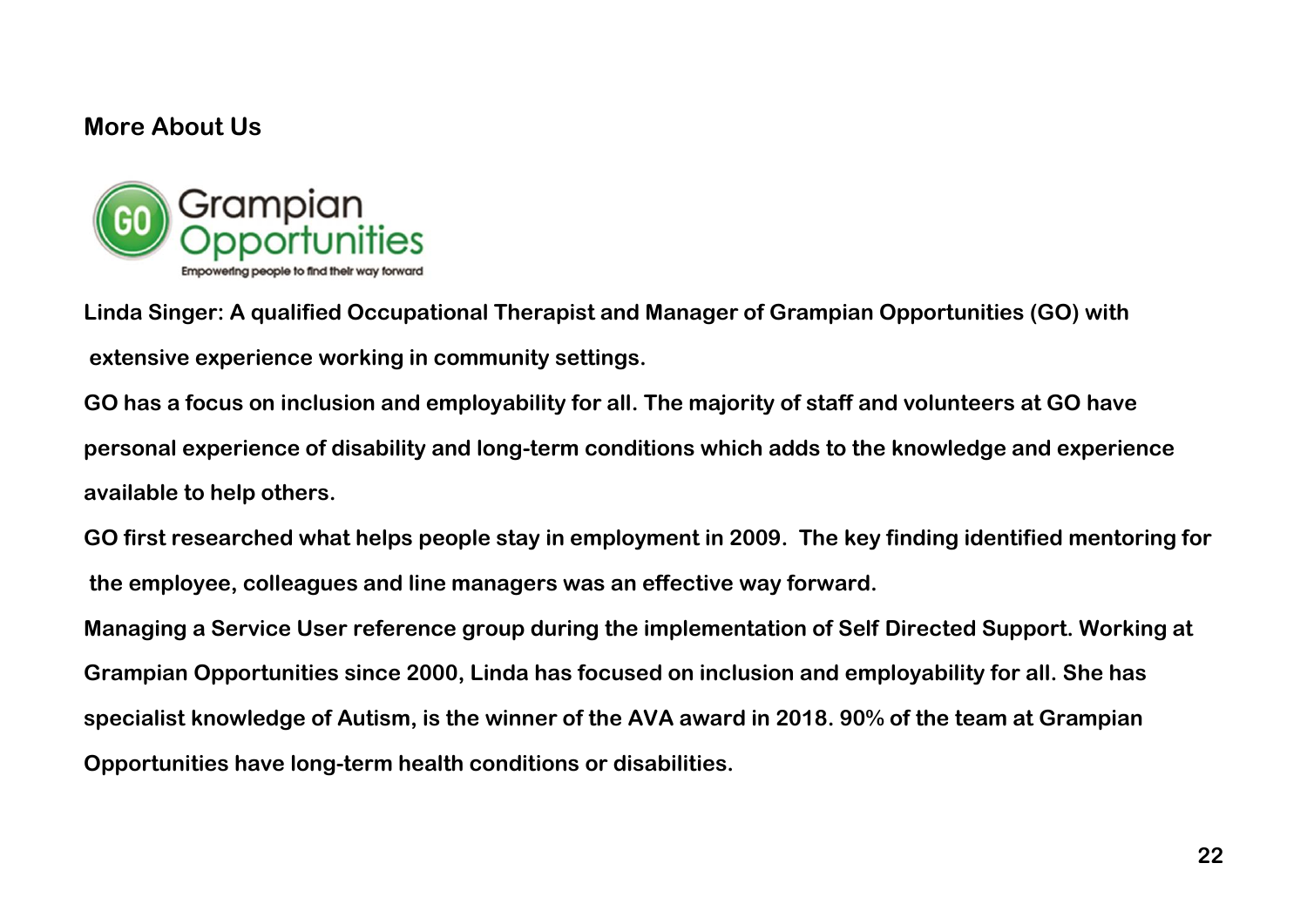## **More About Us**



**Linda Singer: A qualified Occupational Therapist and Manager of Grampian Opportunities (GO) with extensive experience working in community settings.**

**GO has a focus on inclusion and employability for all. The majority of staff and volunteers at GO have personal experience of disability and long-term conditions which adds to the knowledge and experience available to help others.**

**GO first researched what helps people stay in employment in 2009. The key finding identified mentoring for the employee, colleagues and line managers was an effective way forward.** 

**Managing a Service User reference group during the implementation of Self Directed Support. Working at Grampian Opportunities since 2000, Linda has focused on inclusion and employability for all. She has specialist knowledge of Autism, is the winner of the AVA award in 2018. 90% of the team at Grampian Opportunities have long-term health conditions or disabilities.**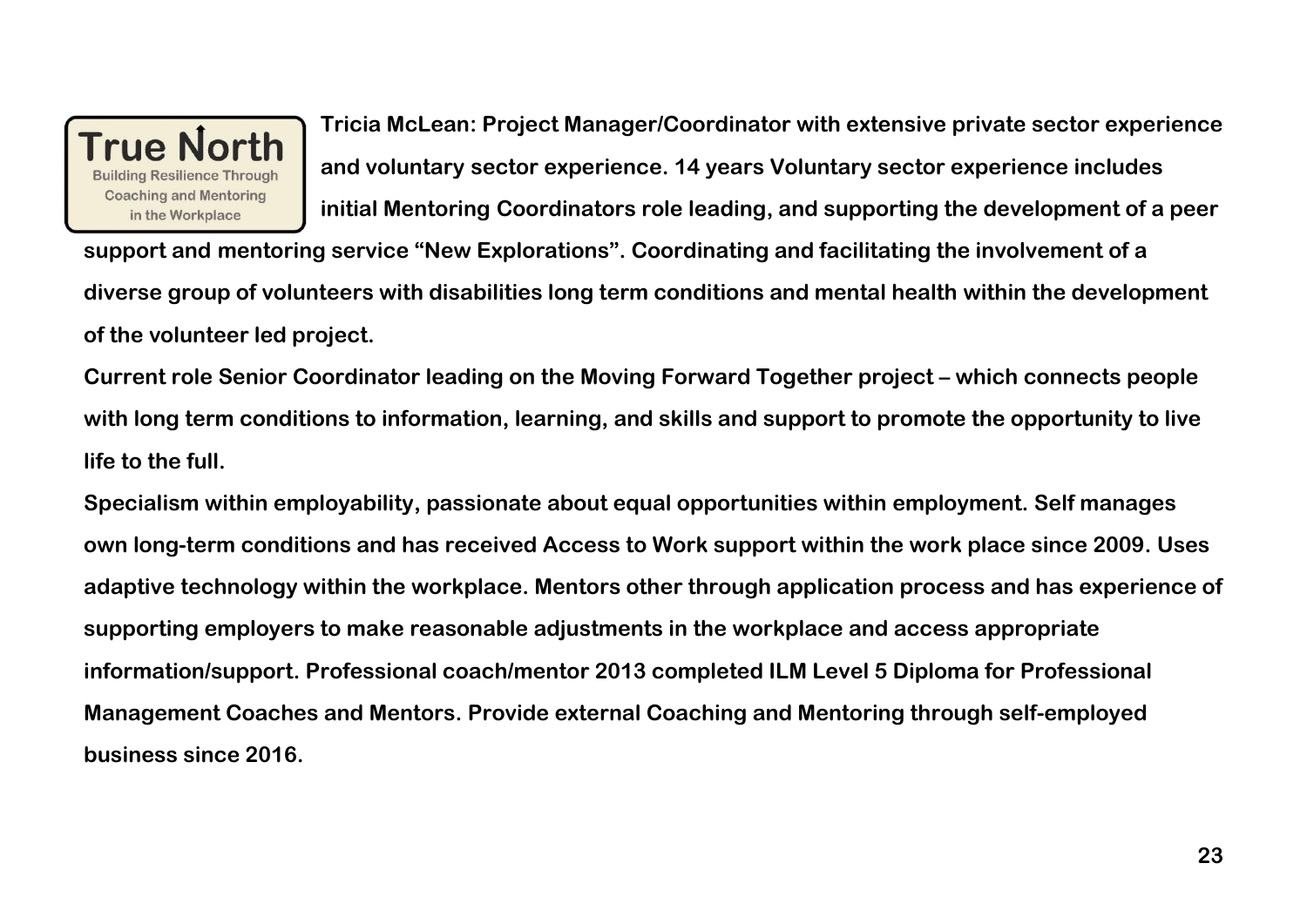

**Tricia McLean: Project Manager/Coordinator with extensive private sector experience and voluntary sector experience. 14 years Voluntary sector experience includes initial Mentoring Coordinators role leading, and supporting the development of a peer** 

**support and mentoring service "New Explorations". Coordinating and facilitating the involvement of a diverse group of volunteers with disabilities long term conditions and mental health within the development of the volunteer led project.**

**Current role Senior Coordinator leading on the Moving Forward Together project – which connects people with long term conditions to information, learning, and skills and support to promote the opportunity to live life to the full.**

**Specialism within employability, passionate about equal opportunities within employment. Self manages own long-term conditions and has received Access to Work support within the work place since 2009. Uses adaptive technology within the workplace. Mentors other through application process and has experience of supporting employers to make reasonable adjustments in the workplace and access appropriate information/support. Professional coach/mentor 2013 completed ILM Level 5 Diploma for Professional Management Coaches and Mentors. Provide external Coaching and Mentoring through self-employed business since 2016.**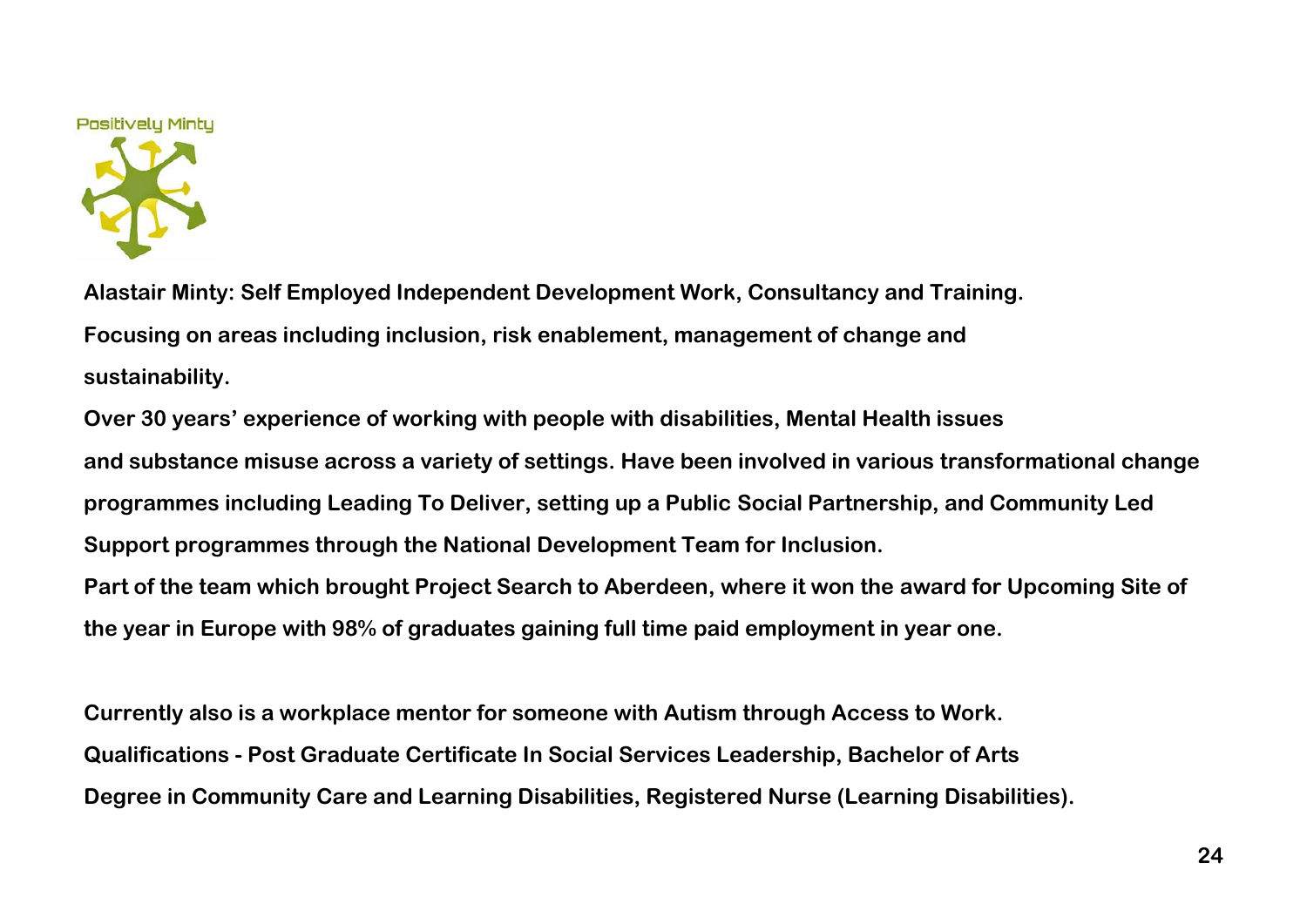

**Alastair Minty: Self Employed Independent Development Work, Consultancy and Training. Focusing on areas including inclusion, risk enablement, management of change and sustainability.**

**Over 30 years' experience of working with people with disabilities, Mental Health issues and substance misuse across a variety of settings. Have been involved in various transformational change programmes including Leading To Deliver, setting up a Public Social Partnership, and Community Led Support programmes through the National Development Team for Inclusion.** 

**Part of the team which brought Project Search to Aberdeen, where it won the award for Upcoming Site of the year in Europe with 98% of graduates gaining full time paid employment in year one.** 

**Currently also is a workplace mentor for someone with Autism through Access to Work. Qualifications - Post Graduate Certificate In Social Services Leadership, Bachelor of Arts Degree in Community Care and Learning Disabilities, Registered Nurse (Learning Disabilities).**